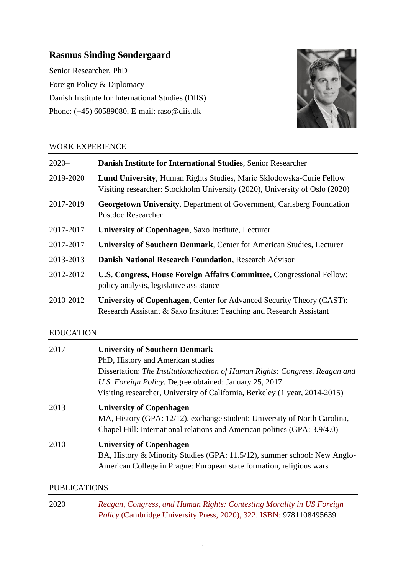# **Rasmus Sinding Søndergaard**

Senior Researcher, PhD Foreign Policy & Diplomacy Danish Institute for International Studies (DIIS) Phone: (+45) 60589080, E-mail: raso@diis.dk



## WORK EXPERIENCE

| $2020 -$  | Danish Institute for International Studies, Senior Researcher                                                                                        |
|-----------|------------------------------------------------------------------------------------------------------------------------------------------------------|
| 2019-2020 | Lund University, Human Rights Studies, Marie Skłodowska-Curie Fellow<br>Visiting researcher: Stockholm University (2020), University of Oslo (2020)  |
| 2017-2019 | <b>Georgetown University, Department of Government, Carlsberg Foundation</b><br>Postdoc Researcher                                                   |
| 2017-2017 | <b>University of Copenhagen, Saxo Institute, Lecturer</b>                                                                                            |
| 2017-2017 | University of Southern Denmark, Center for American Studies, Lecturer                                                                                |
| 2013-2013 | <b>Danish National Research Foundation, Research Advisor</b>                                                                                         |
| 2012-2012 | U.S. Congress, House Foreign Affairs Committee, Congressional Fellow:<br>policy analysis, legislative assistance                                     |
| 2010-2012 | <b>University of Copenhagen, Center for Advanced Security Theory (CAST):</b><br>Research Assistant & Saxo Institute: Teaching and Research Assistant |

## EDUCATION

| 2017 | <b>University of Southern Denmark</b><br>PhD, History and American studies<br>Dissertation: The Institutionalization of Human Rights: Congress, Reagan and<br>U.S. Foreign Policy. Degree obtained: January 25, 2017<br>Visiting researcher, University of California, Berkeley (1 year, 2014-2015) |
|------|-----------------------------------------------------------------------------------------------------------------------------------------------------------------------------------------------------------------------------------------------------------------------------------------------------|
| 2013 | <b>University of Copenhagen</b><br>MA, History (GPA: 12/12), exchange student: University of North Carolina,<br>Chapel Hill: International relations and American politics (GPA: 3.9/4.0)                                                                                                           |
| 2010 | <b>University of Copenhagen</b><br>BA, History & Minority Studies (GPA: 11.5/12), summer school: New Anglo-<br>American College in Prague: European state formation, religious wars                                                                                                                 |

## PUBLICATIONS

| 2020 | Reagan, Congress, and Human Rights: Contesting Morality in US Foreign      |
|------|----------------------------------------------------------------------------|
|      | <i>Policy</i> (Cambridge University Press, 2020), 322. ISBN: 9781108495639 |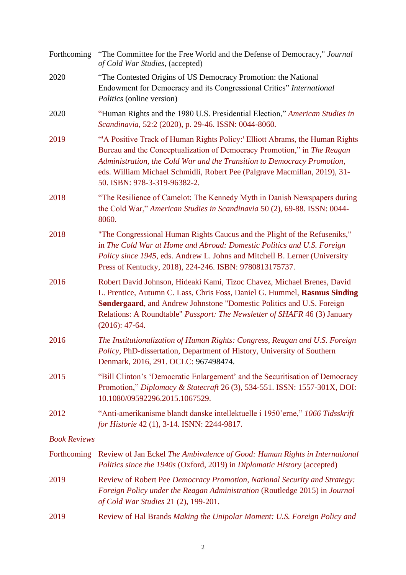| Forthcoming         | "The Committee for the Free World and the Defense of Democracy," Journal<br>of Cold War Studies, (accepted)                                                                                                                                                                                                                                    |
|---------------------|------------------------------------------------------------------------------------------------------------------------------------------------------------------------------------------------------------------------------------------------------------------------------------------------------------------------------------------------|
| 2020                | "The Contested Origins of US Democracy Promotion: the National<br>Endowment for Democracy and its Congressional Critics" International<br><i>Politics</i> (online version)                                                                                                                                                                     |
| 2020                | "Human Rights and the 1980 U.S. Presidential Election," American Studies in<br>Scandinavia, 52:2 (2020), p. 29-46. ISSN: 0044-8060.                                                                                                                                                                                                            |
| 2019                | "A Positive Track of Human Rights Policy:' Elliott Abrams, the Human Rights<br>Bureau and the Conceptualization of Democracy Promotion," in The Reagan<br>Administration, the Cold War and the Transition to Democracy Promotion,<br>eds. William Michael Schmidli, Robert Pee (Palgrave Macmillan, 2019), 31-<br>50. ISBN: 978-3-319-96382-2. |
| 2018                | "The Resilience of Camelot: The Kennedy Myth in Danish Newspapers during<br>the Cold War," American Studies in Scandinavia 50 (2), 69-88. ISSN: 0044-<br>8060.                                                                                                                                                                                 |
| 2018                | "The Congressional Human Rights Caucus and the Plight of the Refuseniks,"<br>in The Cold War at Home and Abroad: Domestic Politics and U.S. Foreign<br>Policy since 1945, eds. Andrew L. Johns and Mitchell B. Lerner (University<br>Press of Kentucky, 2018), 224-246. ISBN: 9780813175737.                                                   |
| 2016                | Robert David Johnson, Hideaki Kami, Tizoc Chavez, Michael Brenes, David<br>L. Prentice, Autumn C. Lass, Chris Foss, Daniel G. Hummel, Rasmus Sinding<br>Søndergaard, and Andrew Johnstone "Domestic Politics and U.S. Foreign<br>Relations: A Roundtable" <i>Passport: The Newsletter of SHAFR</i> 46 (3) January<br>$(2016): 47-64.$          |
| 2016                | The Institutionalization of Human Rights: Congress, Reagan and U.S. Foreign<br>Policy, PhD-dissertation, Department of History, University of Southern<br>Denmark, 2016, 291. OCLC: 967498474.                                                                                                                                                 |
| 2015                | "Bill Clinton's 'Democratic Enlargement' and the Securitisation of Democracy<br>Promotion," Diplomacy & Statecraft 26 (3), 534-551. ISSN: 1557-301X, DOI:<br>10.1080/09592296.2015.1067529.                                                                                                                                                    |
| 2012                | "Anti-amerikanisme blandt danske intellektuelle i 1950'erne," 1066 Tidsskrift<br>for Historie 42 (1), 3-14. ISNN: 2244-9817.                                                                                                                                                                                                                   |
| <b>Book Reviews</b> |                                                                                                                                                                                                                                                                                                                                                |
| Forthcoming         | Review of Jan Eckel The Ambivalence of Good: Human Rights in International<br>Politics since the 1940s (Oxford, 2019) in Diplomatic History (accepted)                                                                                                                                                                                         |
| 2019                | Review of Robert Pee Democracy Promotion, National Security and Strategy:<br>Foreign Policy under the Reagan Administration (Routledge 2015) in Journal<br>of Cold War Studies 21 (2), 199-201.                                                                                                                                                |
| 2019                | Review of Hal Brands Making the Unipolar Moment: U.S. Foreign Policy and                                                                                                                                                                                                                                                                       |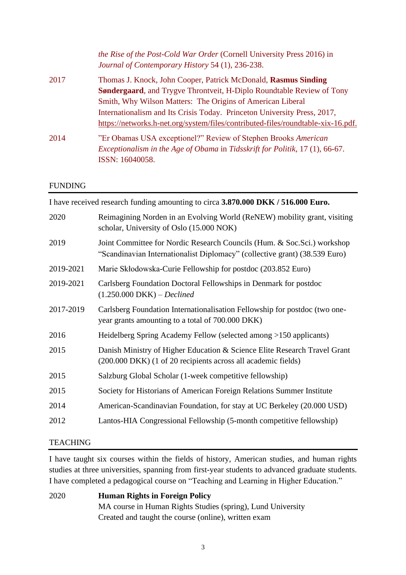| the Rise of the Post-Cold War Order (Cornell University Press 2016) in<br>Journal of Contemporary History 54 (1), 236-238. |
|----------------------------------------------------------------------------------------------------------------------------|
| Thomas J. Knock, John Cooper, Patrick McDonald, Rasmus Sinding                                                             |
| <b>Søndergaard, and Trygve Throntveit, H-Diplo Roundtable Review of Tony</b>                                               |
| Smith, Why Wilson Matters: The Origins of American Liberal                                                                 |
| Internationalism and Its Crisis Today. Princeton University Press, 2017,                                                   |
| https://networks.h-net.org/system/files/contributed-files/roundtable-xix-16.pdf.                                           |
| "Er Obamas USA exceptionel?" Review of Stephen Brooks American                                                             |
| Exceptionalism in the Age of Obama in Tidsskrift for Politik, 17 (1), 66-67.<br>ISSN: 16040058.                            |
|                                                                                                                            |

## FUNDING

I have received research funding amounting to circa **3.870.000 DKK / 516.000 Euro.**

| 2020      | Reimagining Norden in an Evolving World (ReNEW) mobility grant, visiting<br>scholar, University of Oslo (15.000 NOK)                                   |
|-----------|--------------------------------------------------------------------------------------------------------------------------------------------------------|
| 2019      | Joint Committee for Nordic Research Councils (Hum. & Soc. Sci.) workshop<br>"Scandinavian Internationalist Diplomacy" (collective grant) (38.539 Euro) |
| 2019-2021 | Marie Skłodowska-Curie Fellowship for postdoc (203.852 Euro)                                                                                           |
| 2019-2021 | Carlsberg Foundation Doctoral Fellowships in Denmark for postdoc<br>$(1.250.000 \, DKK) - Declined$                                                    |
| 2017-2019 | Carlsberg Foundation Internationalisation Fellowship for postdoc (two one-<br>year grants amounting to a total of 700.000 DKK)                         |
| 2016      | Heidelberg Spring Academy Fellow (selected among >150 applicants)                                                                                      |
| 2015      | Danish Ministry of Higher Education & Science Elite Research Travel Grant<br>(200.000 DKK) (1 of 20 recipients across all academic fields)             |
| 2015      | Salzburg Global Scholar (1-week competitive fellowship)                                                                                                |
| 2015      | Society for Historians of American Foreign Relations Summer Institute                                                                                  |
| 2014      | American-Scandinavian Foundation, for stay at UC Berkeley (20.000 USD)                                                                                 |
| 2012      | Lantos-HIA Congressional Fellowship (5-month competitive fellowship)                                                                                   |
|           |                                                                                                                                                        |

#### **TEACHING**

I have taught six courses within the fields of history, American studies, and human rights studies at three universities, spanning from first-year students to advanced graduate students. I have completed a pedagogical course on "Teaching and Learning in Higher Education."

2020 **Human Rights in Foreign Policy** MA course in Human Rights Studies (spring), Lund University Created and taught the course (online), written exam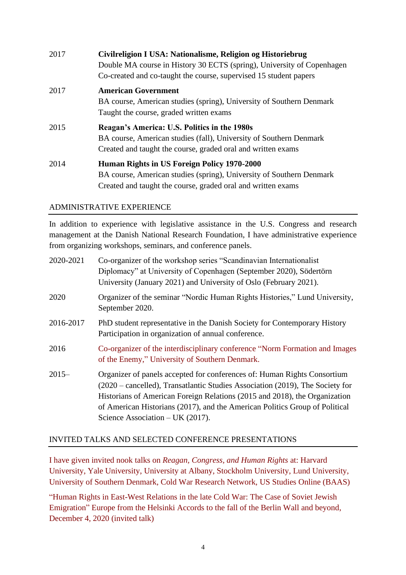| 2017 | Civilreligion I USA: Nationalisme, Religion og Historiebrug<br>Double MA course in History 30 ECTS (spring), University of Copenhagen<br>Co-created and co-taught the course, supervised 15 student papers |
|------|------------------------------------------------------------------------------------------------------------------------------------------------------------------------------------------------------------|
| 2017 | <b>American Government</b><br>BA course, American studies (spring), University of Southern Denmark<br>Taught the course, graded written exams                                                              |
| 2015 | Reagan's America: U.S. Politics in the 1980s<br>BA course, American studies (fall), University of Southern Denmark<br>Created and taught the course, graded oral and written exams                         |
| 2014 | Human Rights in US Foreign Policy 1970-2000<br>BA course, American studies (spring), University of Southern Denmark<br>Created and taught the course, graded oral and written exams                        |

## ADMINISTRATIVE EXPERIENCE

In addition to experience with legislative assistance in the U.S. Congress and research management at the Danish National Research Foundation, I have administrative experience from organizing workshops, seminars, and conference panels.

| 2020-2021 | Co-organizer of the workshop series "Scandinavian Internationalist<br>Diplomacy" at University of Copenhagen (September 2020), Södertörn<br>University (January 2021) and University of Oslo (February 2021).                                                                                                                                                              |
|-----------|----------------------------------------------------------------------------------------------------------------------------------------------------------------------------------------------------------------------------------------------------------------------------------------------------------------------------------------------------------------------------|
| 2020      | Organizer of the seminar "Nordic Human Rights Histories," Lund University,<br>September 2020.                                                                                                                                                                                                                                                                              |
| 2016-2017 | PhD student representative in the Danish Society for Contemporary History<br>Participation in organization of annual conference.                                                                                                                                                                                                                                           |
| 2016      | Co-organizer of the interdisciplinary conference "Norm Formation and Images"<br>of the Enemy," University of Southern Denmark.                                                                                                                                                                                                                                             |
| $2015 -$  | Organizer of panels accepted for conferences of: Human Rights Consortium<br>$(2020 - \text{cancellation})$ , Transatlantic Studies Association (2019), The Society for<br>Historians of American Foreign Relations (2015 and 2018), the Organization<br>of American Historians (2017), and the American Politics Group of Political<br>Science Association – UK $(2017)$ . |

## INVITED TALKS AND SELECTED CONFERENCE PRESENTATIONS

I have given invited nook talks on *Reagan, Congress, and Human Rights* at: Harvard University, Yale University, University at Albany, Stockholm University, Lund University, University of Southern Denmark, Cold War Research Network, US Studies Online (BAAS)

"Human Rights in East-West Relations in the late Cold War: The Case of Soviet Jewish Emigration" Europe from the Helsinki Accords to the fall of the Berlin Wall and beyond, December 4, 2020 (invited talk)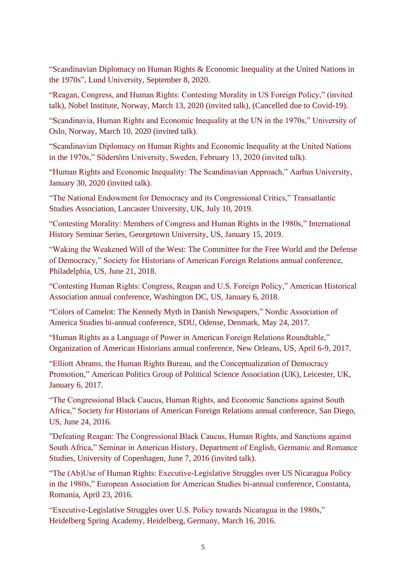"Scandinavian Diplomacy on Human Rights & Economic Inequality at the United Nations in the 1970s", Lund University, September 8, 2020.

"Reagan, Congress, and Human Rights: Contesting Morality in US Foreign Policy," (invited talk), Nobel Institute, Norway, March 13, 2020 (invited talk), (Cancelled due to Covid-19).

"Scandinavia, Human Rights and Economic Inequality at the UN in the 1970s," University of Oslo, Norway, March 10, 2020 (invited talk).

"Scandinavian Diplomacy on Human Rights and Economic Inequality at the United Nations in the 1970s," Södertörn University, Sweden, February 13, 2020 (invited talk).

"Human Rights and Economic Inequality: The Scandinavian Approach," Aarhus University, January 30, 2020 (invited talk).

"The National Endowment for Democracy and its Congressional Critics," Transatlantic Studies Association, Lancaster University, UK, July 10, 2019.

"Contesting Morality: Members of Congress and Human Rights in the 1980s," International History Seminar Series, Georgetown University, US, January 15, 2019.

"Waking the Weakened Will of the West: The Committee for the Free World and the Defense of Democracy," Society for Historians of American Foreign Relations annual conference, Philadelphia, US, June 21, 2018.

"Contesting Human Rights: Congress, Reagan and U.S. Foreign Policy," American Historical Association annual conference, Washington DC, US, January 6, 2018.

"Colors of Camelot: The Kennedy Myth in Danish Newspapers," Nordic Association of America Studies bi-annual conference, SDU, Odense, Denmark, May 24, 2017.

"Human Rights as a Language of Power in American Foreign Relations Roundtable," Organization of American Historians annual conference, New Orleans, US, April 6-9, 2017.

"Elliott Abrams, the Human Rights Bureau, and the Conceptualization of Democracy Promotion," American Politics Group of Political Science Association (UK), Leicester, UK, January 6, 2017.

"The Congressional Black Caucus, Human Rights, and Economic Sanctions against South Africa," Society for Historians of American Foreign Relations annual conference, San Diego, US, June 24, 2016.

"Defeating Reagan: The Congressional Black Caucus, Human Rights, and Sanctions against South Africa," Seminar in American History, Department of English, Germanic and Romance Studies, University of Copenhagen, June 7, 2016 (invited talk).

"The (Ab)Use of Human Rights: Executive-Legislative Struggles over US Nicaragua Policy in the 1980s," European Association for American Studies bi-annual conference, Constanta, Romania, April 23, 2016.

"Executive-Legislative Struggles over U.S. Policy towards Nicaragua in the 1980s," Heidelberg Spring Academy, Heidelberg, Germany, March 16, 2016.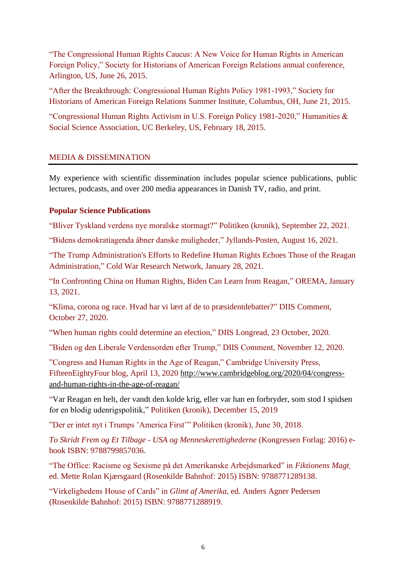"The Congressional Human Rights Caucus: A New Voice for Human Rights in American Foreign Policy," Society for Historians of American Foreign Relations annual conference, Arlington, US, June 26, 2015.

"After the Breakthrough: Congressional Human Rights Policy 1981-1993," Society for Historians of American Foreign Relations Summer Institute, Columbus, OH, June 21, 2015.

"Congressional Human Rights Activism in U.S. Foreign Policy 1981-2020," Humanities & Social Science Association, UC Berkeley, US, February 18, 2015.

## MEDIA & DISSEMINATION

My experience with scientific dissemination includes popular science publications, public lectures, podcasts, and over 200 media appearances in Danish TV, radio, and print.

## **Popular Science Publications**

"Bliver Tyskland verdens nye moralske stormagt?" Politiken (kronik), September 22, 2021.

"Bidens demokratiagenda åbner danske muligheder," Jyllands-Posten, August 16, 2021.

"The Trump Administration's Efforts to Redefine Human Rights Echoes Those of the Reagan Administration," Cold War Research Network, January 28, 2021.

"In Confronting China on Human Rights, Biden Can Learn from Reagan," OREMA, January 13, 2021.

"Klima, corona og race. Hvad har vi lært af de to præsidentdebatter?" DIIS Comment, October 27, 2020.

"When human rights could determine an election," DIIS Longread, 23 October, 2020.

"Biden og den Liberale Verdensorden efter Trump," DIIS Comment, November 12, 2020.

"Congress and Human Rights in the Age of Reagan," Cambridge University Press, FifteenEightyFour blog, April 13, 2020 [http://www.cambridgeblog.org/2020/04/c](http://www.cambridgeblog.org/2020/04/)ongressand-human-rights-in-the-age-of-reagan/

"Var Reagan en helt, der vandt den kolde krig, eller var han en forbryder, som stod I spidsen for en blodig udenrigspolitik," Politiken (kronik), December 15, 2019

"Der er intet nyt i Trumps 'America First'" Politiken (kronik), June 30, 2018.

*To Skridt Frem og Et Tilbage - USA og Menneskerettighederne* (Kongressen Forlag: 2016) ebook ISBN: 9788799857036.

"The Office: Racisme og Sexisme på det Amerikanske Arbejdsmarked" in *Fiktionens Magt*, ed. Mette Rolan Kjærsgaard (Rosenkilde Bahnhof: 2015) ISBN: 9788771289138.

"Virkelighedens House of Cards" in *Glimt af Amerika,* ed. Anders Agner Pedersen (Rosenkilde Bahnhof: 2015) ISBN: 9788771288919.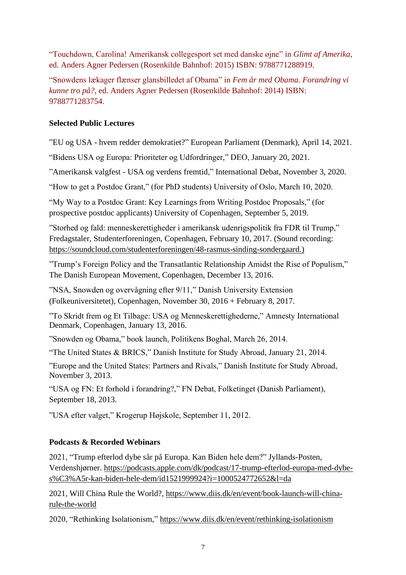"Touchdown, Carolina! Amerikansk collegesport set med danske øjne" in *Glimt af Amerika,*  ed. Anders Agner Pedersen (Rosenkilde Bahnhof: 2015) ISBN: 9788771288919.

"Snowdens lækager flænser glansbilledet af Obama" in *Fem år med Obama. Forandring vi kunne tro på?,* ed. Anders Agner Pedersen (Rosenkilde Bahnhof: 2014) ISBN: 9788771283754.

## **Selected Public Lectures**

"EU og USA - hvem redder demokratiet?" European Parliament (Denmark), April 14, 2021.

"Bidens USA og Europa: Prioriteter og Udfordringer," DEO, January 20, 2021.

"Amerikansk valgfest - USA og verdens fremtid," International Debat, November 3, 2020.

"How to get a Postdoc Grant," (for PhD students) University of Oslo, March 10, 2020.

"My Way to a Postdoc Grant: Key Learnings from Writing Postdoc Proposals," (for prospective postdoc applicants) University of Copenhagen, September 5, 2019.

"Storhed og fald: menneskerettigheder i amerikansk udenrigspolitik fra FDR til Trump," Fredagstaler, Studenterforeningen, Copenhagen, February 10, 2017. (Sound recording: [https://soundcloud.com/studenterforeningen/48-rasmus-sinding-sondergaard.](https://soundcloud.com/studenterforeningen/48-rasmus-sinding-sondergaard))

"Trump's Foreign Policy and the Transatlantic Relationship Amidst the Rise of Populism," The Danish European Movement, Copenhagen, December 13, 2016.

"NSA, Snowden og overvågning efter 9/11," Danish University Extension (Folkeuniversitetet), Copenhagen, November 30, 2016 + February 8, 2017.

"To Skridt frem og Et Tilbage: USA og Menneskerettighederne," Amnesty International Denmark, Copenhagen, January 13, 2016.

"Snowden og Obama," book launch, Politikens Boghal, March 26, 2014.

"The United States & BRICS," Danish Institute for Study Abroad, January 21, 2014.

"Europe and the United States: Partners and Rivals," Danish Institute for Study Abroad, November 3, 2013.

"USA og FN: Et forhold i forandring?," FN Debat, Folketinget (Danish Parliament), September 18, 2013.

"USA efter valget," Krogerup Højskole, September 11, 2012.

# **Podcasts & Recorded Webinars**

2021, "Trump efterlod dybe sår på Europa. Kan Biden hele dem?" Jyllands-Posten, Verdenshjørner. [https://podcasts.apple.com/dk/podcast/17-trump-efterlod-europa-med-dybe](https://podcasts.apple.com/dk/podcast/17-trump-efterlod-europa-med-dybe-s%C3%A5r-kan-biden-hele-dem/id1521999924?i=1000524772652&l=da)[s%C3%A5r-kan-biden-hele-dem/id1521999924?i=1000524772652&l=da](https://podcasts.apple.com/dk/podcast/17-trump-efterlod-europa-med-dybe-s%C3%A5r-kan-biden-hele-dem/id1521999924?i=1000524772652&l=da)

2021, Will China Rule the World?, [https://www.diis.dk/en/event/book-launch-will-china](https://www.diis.dk/en/event/book-launch-will-china-rule-the-world)[rule-the-world](https://www.diis.dk/en/event/book-launch-will-china-rule-the-world)

2020, "Rethinking Isolationism," <https://www.diis.dk/en/event/rethinking-isolationism>